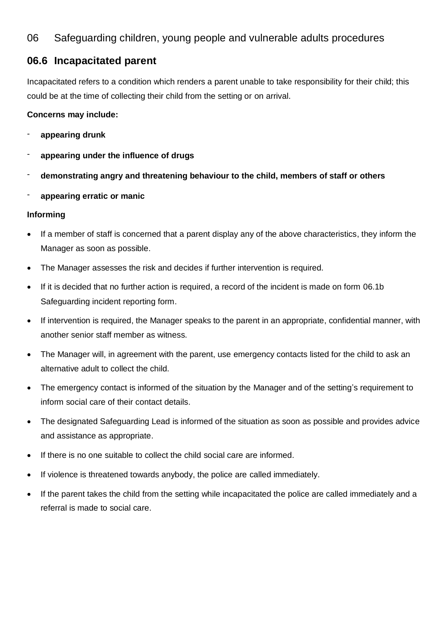# 06 Safeguarding children, young people and vulnerable adults procedures

## **06.6 Incapacitated parent**

Incapacitated refers to a condition which renders a parent unable to take responsibility for their child; this could be at the time of collecting their child from the setting or on arrival.

### **Concerns may include:**

- **appearing drunk**
- **appearing under the influence of drugs**
- **demonstrating angry and threatening behaviour to the child, members of staff or others**
- **appearing erratic or manic**

#### **Informing**

- If a member of staff is concerned that a parent display any of the above characteristics, they inform the Manager as soon as possible.
- The Manager assesses the risk and decides if further intervention is required.
- If it is decided that no further action is required, a record of the incident is made on form 06.1b Safeguarding incident reporting form.
- If intervention is required, the Manager speaks to the parent in an appropriate, confidential manner, with another senior staff member as witness.
- The Manager will, in agreement with the parent, use emergency contacts listed for the child to ask an alternative adult to collect the child.
- The emergency contact is informed of the situation by the Manager and of the setting's requirement to inform social care of their contact details.
- The designated Safeguarding Lead is informed of the situation as soon as possible and provides advice and assistance as appropriate.
- If there is no one suitable to collect the child social care are informed.
- If violence is threatened towards anybody, the police are called immediately.
- If the parent takes the child from the setting while incapacitated the police are called immediately and a referral is made to social care.